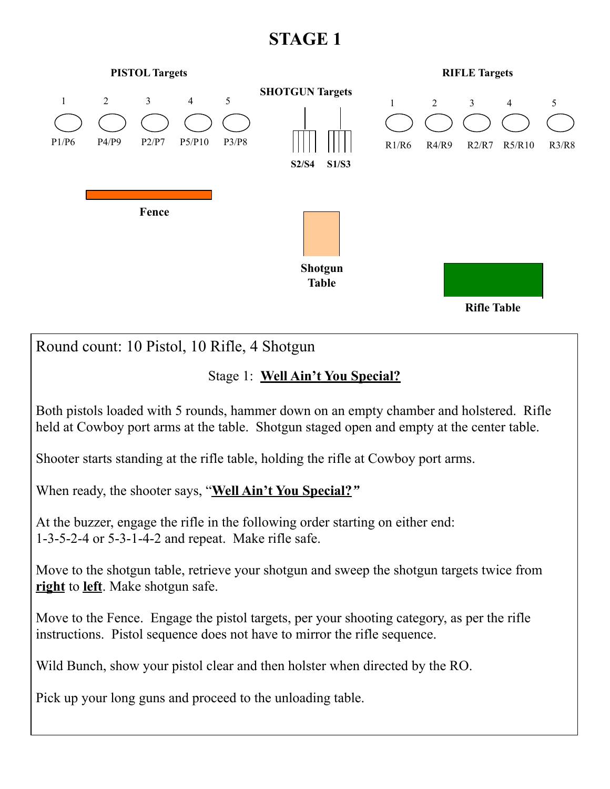

**right** to **left**. Make shotgun safe.

Move to the Fence. Engage the pistol targets, per your shooting category, as per the rifle instructions. Pistol sequence does not have to mirror the rifle sequence.

Wild Bunch, show your pistol clear and then holster when directed by the RO.

Pick up your long guns and proceed to the unloading table.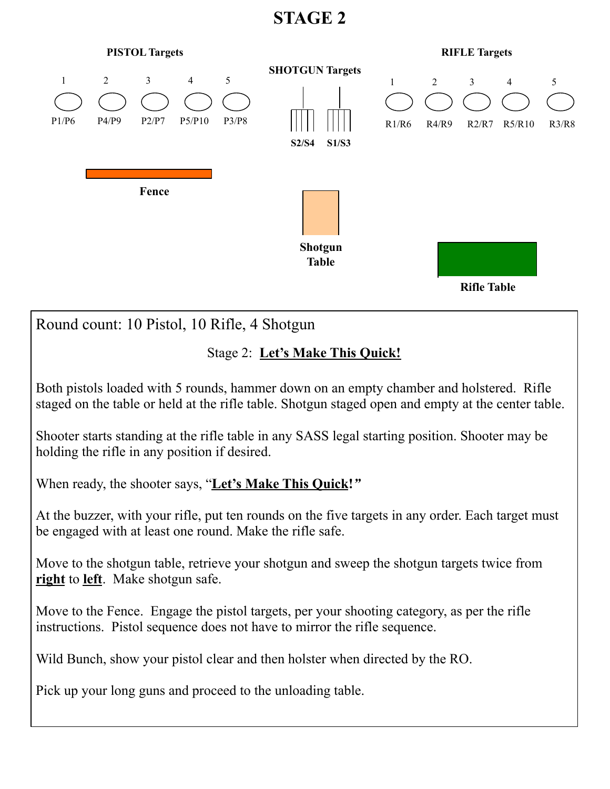

Pick up your long guns and proceed to the unloading table.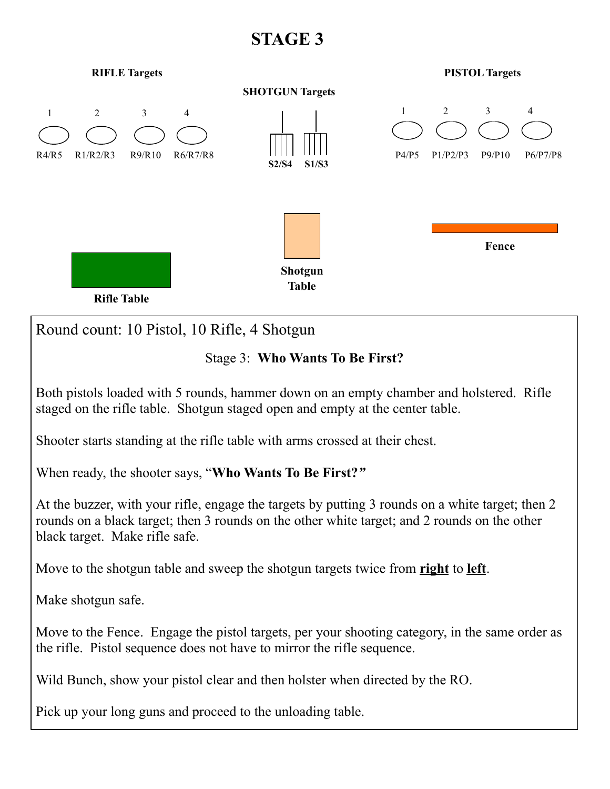